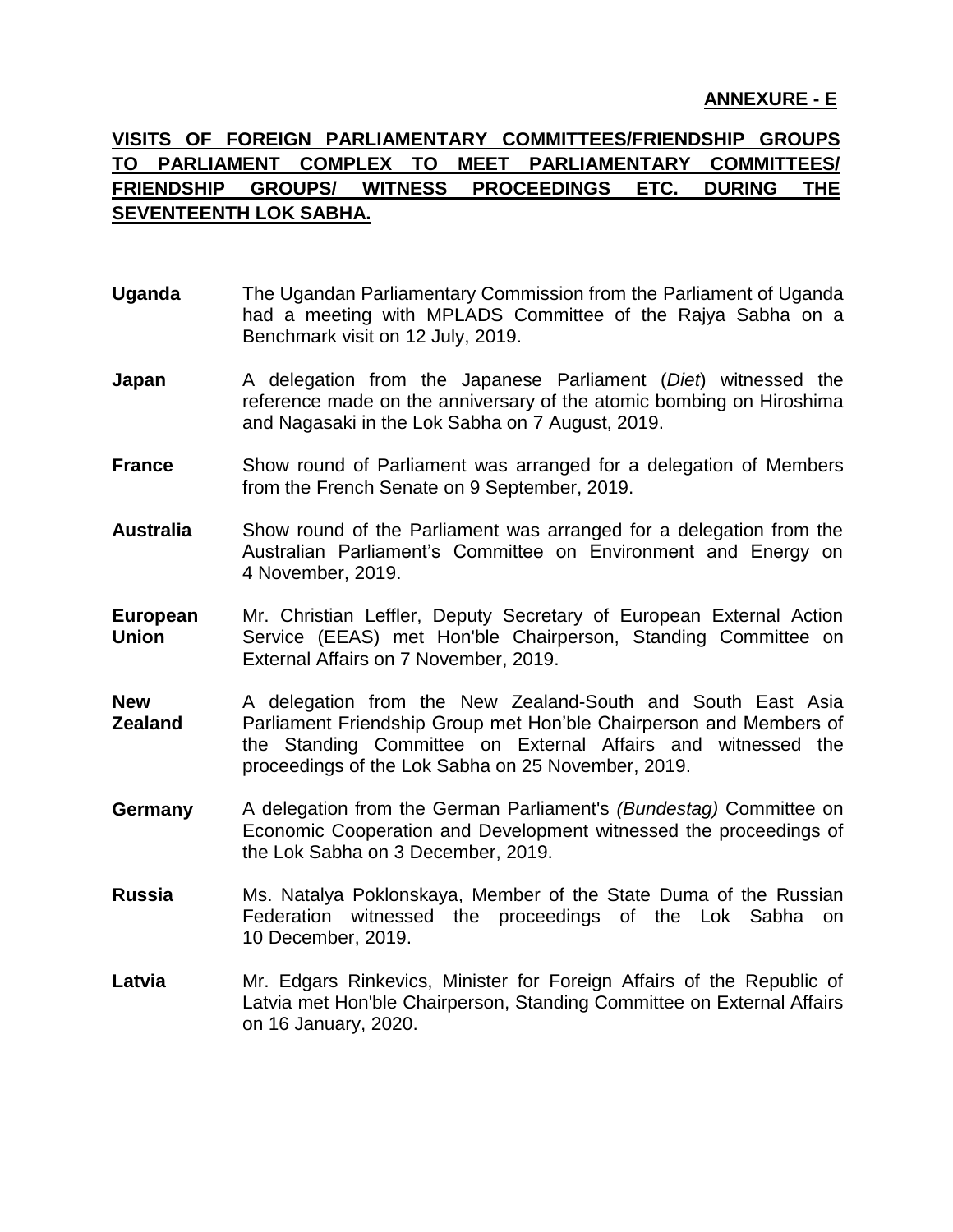## **ANNEXURE - E**

## **VISITS OF FOREIGN PARLIAMENTARY COMMITTEES/FRIENDSHIP GROUPS TO PARLIAMENT COMPLEX TO MEET PARLIAMENTARY COMMITTEES/ FRIENDSHIP GROUPS/ WITNESS PROCEEDINGS ETC. DURING THE SEVENTEENTH LOK SABHA.**

- **Uganda** The Ugandan Parliamentary Commission from the Parliament of Uganda had a meeting with MPLADS Committee of the Rajya Sabha on a Benchmark visit on 12 July, 2019.
- **Japan** A delegation from the Japanese Parliament (*Diet*) witnessed the reference made on the anniversary of the atomic bombing on Hiroshima and Nagasaki in the Lok Sabha on 7 August, 2019.
- **France** Show round of Parliament was arranged for a delegation of Members from the French Senate on 9 September, 2019.
- **Australia** Show round of the Parliament was arranged for a delegation from the Australian Parliament's Committee on Environment and Energy on 4 November, 2019.
- **European Union** Mr. Christian Leffler, Deputy Secretary of European External Action Service (EEAS) met Hon'ble Chairperson, Standing Committee on External Affairs on 7 November, 2019.
- **New Zealand** A delegation from the New Zealand-South and South East Asia Parliament Friendship Group met Hon'ble Chairperson and Members of the Standing Committee on External Affairs and witnessed the proceedings of the Lok Sabha on 25 November, 2019.
- **Germany** A delegation from the German Parliament's *(Bundestag)* Committee on Economic Cooperation and Development witnessed the proceedings of the Lok Sabha on 3 December, 2019.
- **Russia** Ms. Natalya Poklonskaya, Member of the State Duma of the Russian Federation witnessed the proceedings of the Lok Sabha on 10 December, 2019.
- Latvia Mr. Edgars Rinkevics, Minister for Foreign Affairs of the Republic of Latvia met Hon'ble Chairperson, Standing Committee on External Affairs on 16 January, 2020.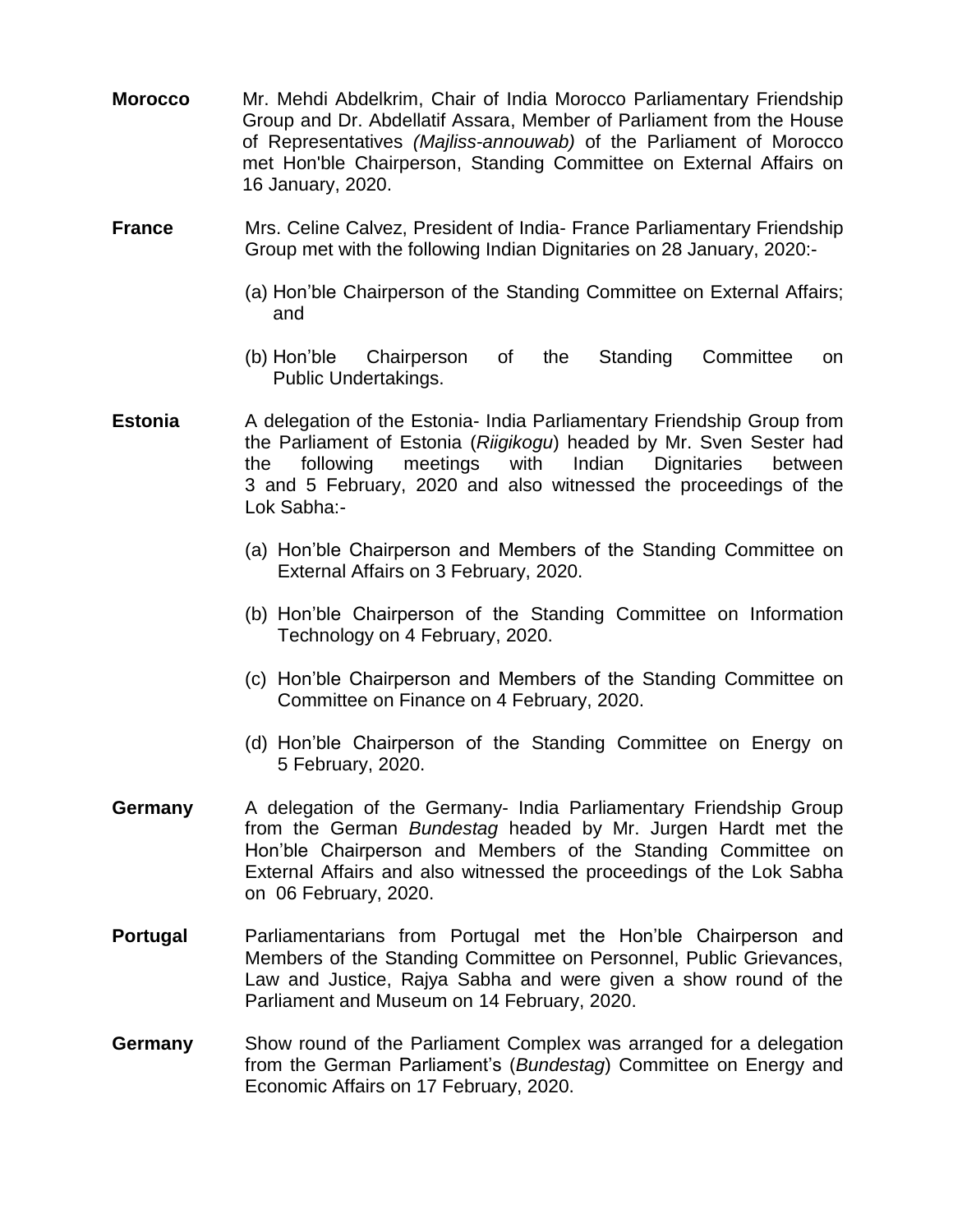- **Morocco** Mr. Mehdi Abdelkrim, Chair of India Morocco Parliamentary Friendship Group and Dr. Abdellatif Assara, Member of Parliament from the House of Representatives *(Majliss-annouwab)* of the Parliament of Morocco met Hon'ble Chairperson, Standing Committee on External Affairs on 16 January, 2020.
- **France** Mrs. Celine Calvez, President of India- France Parliamentary Friendship Group met with the following Indian Dignitaries on 28 January, 2020:-
	- (a) Hon'ble Chairperson of the Standing Committee on External Affairs; and
	- (b) Hon'ble Chairperson of the Standing Committee on Public Undertakings.
- **Estonia** A delegation of the Estonia- India Parliamentary Friendship Group from the Parliament of Estonia (*Riigikogu*) headed by Mr. Sven Sester had the following meetings with Indian Dignitaries between 3 and 5 February, 2020 and also witnessed the proceedings of the Lok Sabha:-
	- (a) Hon'ble Chairperson and Members of the Standing Committee on External Affairs on 3 February, 2020.
	- (b) Hon'ble Chairperson of the Standing Committee on Information Technology on 4 February, 2020.
	- (c) Hon'ble Chairperson and Members of the Standing Committee on Committee on Finance on 4 February, 2020.
	- (d) Hon'ble Chairperson of the Standing Committee on Energy on 5 February, 2020.
- **Germany** A delegation of the Germany- India Parliamentary Friendship Group from the German *Bundestag* headed by Mr. Jurgen Hardt met the Hon'ble Chairperson and Members of the Standing Committee on External Affairs and also witnessed the proceedings of the Lok Sabha on 06 February, 2020.
- **Portugal** Parliamentarians from Portugal met the Hon'ble Chairperson and Members of the Standing Committee on Personnel, Public Grievances, Law and Justice, Rajya Sabha and were given a show round of the Parliament and Museum on 14 February, 2020.
- **Germany** Show round of the Parliament Complex was arranged for a delegation from the German Parliament's (*Bundestag*) Committee on Energy and Economic Affairs on 17 February, 2020.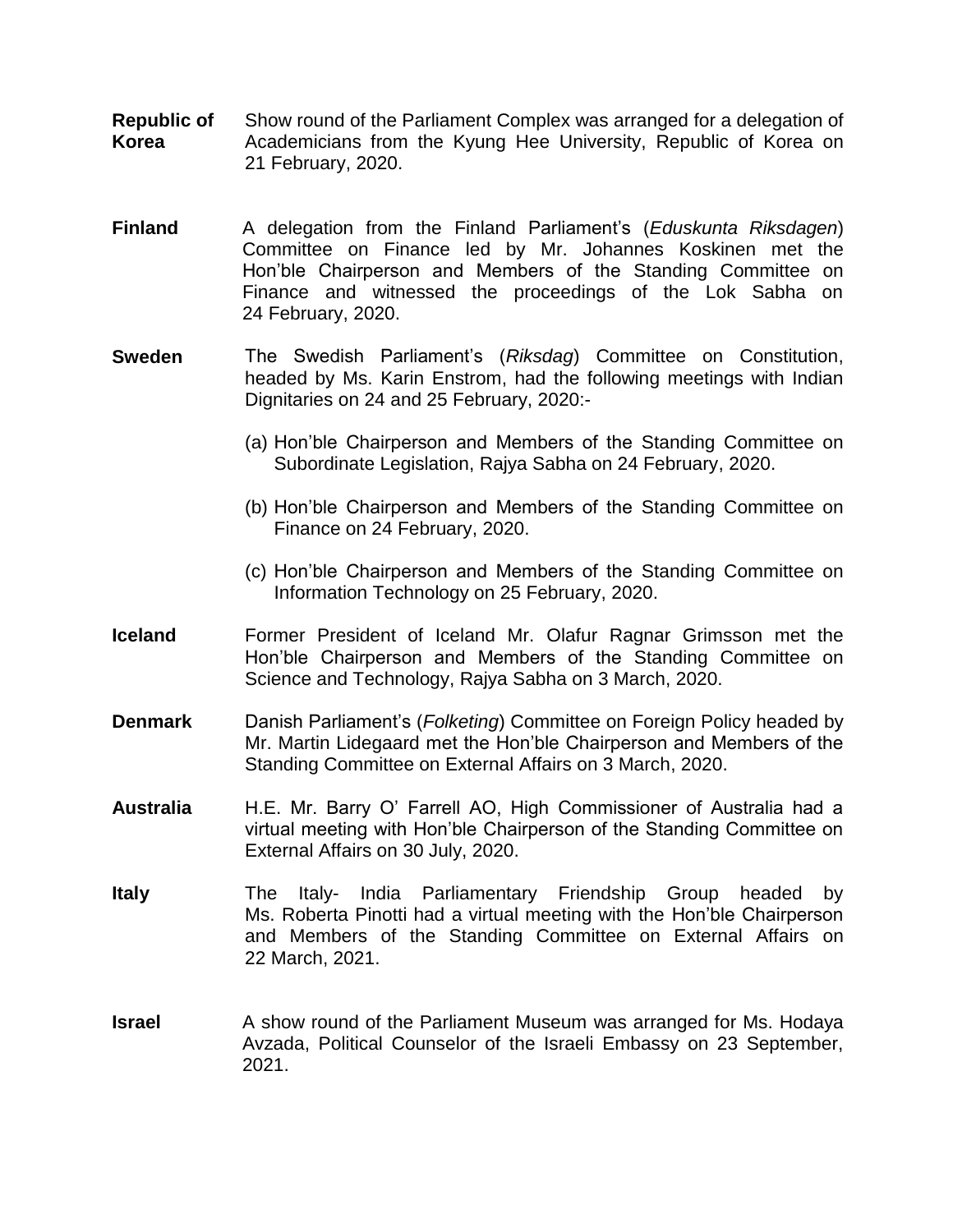- **Republic of Korea** Show round of the Parliament Complex was arranged for a delegation of Academicians from the Kyung Hee University, Republic of Korea on 21 February, 2020.
- **Finland** A delegation from the Finland Parliament's (*Eduskunta Riksdagen*) Committee on Finance led by Mr. Johannes Koskinen met the Hon'ble Chairperson and Members of the Standing Committee on Finance and witnessed the proceedings of the Lok Sabha on 24 February, 2020.
- **Sweden** The Swedish Parliament's (*Riksdag*) Committee on Constitution, headed by Ms. Karin Enstrom, had the following meetings with Indian Dignitaries on 24 and 25 February, 2020:-
	- (a) Hon'ble Chairperson and Members of the Standing Committee on Subordinate Legislation, Rajya Sabha on 24 February, 2020.
	- (b) Hon'ble Chairperson and Members of the Standing Committee on Finance on 24 February, 2020.
	- (c) Hon'ble Chairperson and Members of the Standing Committee on Information Technology on 25 February, 2020.
- **Iceland** Former President of Iceland Mr. Olafur Ragnar Grimsson met the Hon'ble Chairperson and Members of the Standing Committee on Science and Technology, Rajya Sabha on 3 March, 2020.
- **Denmark** Danish Parliament's (*Folketing*) Committee on Foreign Policy headed by Mr. Martin Lidegaard met the Hon'ble Chairperson and Members of the Standing Committee on External Affairs on 3 March, 2020.
- **Australia**  H.E. Mr. Barry O' Farrell AO, High Commissioner of Australia had a virtual meeting with Hon'ble Chairperson of the Standing Committee on External Affairs on 30 July, 2020.
- **Italy** The Italy- India Parliamentary Friendship Group headed by Ms. Roberta Pinotti had a virtual meeting with the Hon'ble Chairperson and Members of the Standing Committee on External Affairs on 22 March, 2021.
- **Israel** A show round of the Parliament Museum was arranged for Ms. Hodaya Avzada, Political Counselor of the Israeli Embassy on 23 September, 2021.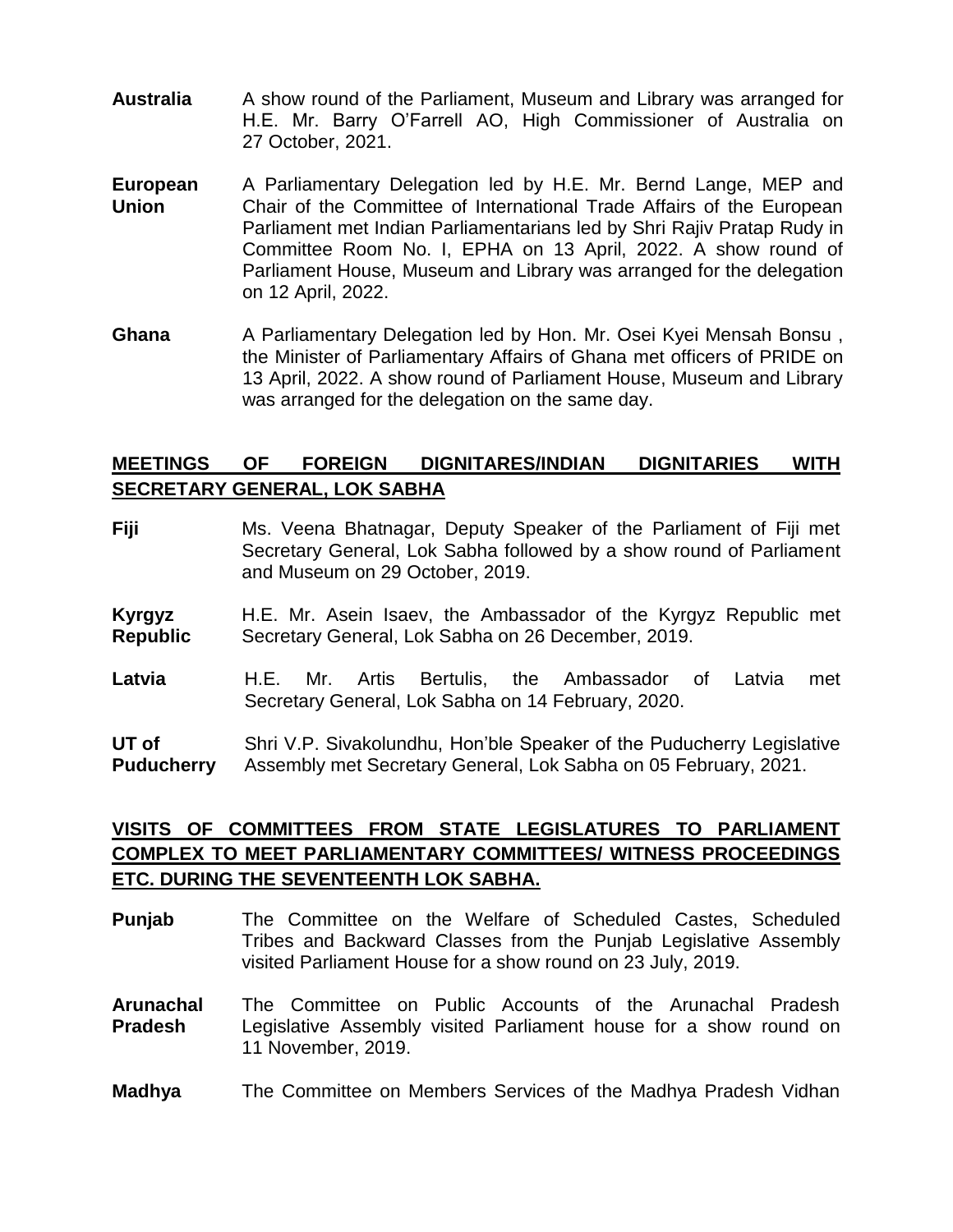- **Australia** A show round of the Parliament, Museum and Library was arranged for H.E. Mr. Barry O'Farrell AO, High Commissioner of Australia on 27 October, 2021.
- **European Union** A Parliamentary Delegation led by H.E. Mr. Bernd Lange, MEP and Chair of the Committee of International Trade Affairs of the European Parliament met Indian Parliamentarians led by Shri Rajiv Pratap Rudy in Committee Room No. I, EPHA on 13 April, 2022. A show round of Parliament House, Museum and Library was arranged for the delegation on 12 April, 2022.
- **Ghana** A Parliamentary Delegation led by Hon. Mr. Osei Kyei Mensah Bonsu , the Minister of Parliamentary Affairs of Ghana met officers of PRIDE on 13 April, 2022. A show round of Parliament House, Museum and Library was arranged for the delegation on the same day.

## **MEETINGS OF FOREIGN DIGNITARES/INDIAN DIGNITARIES WITH SECRETARY GENERAL, LOK SABHA**

- **Fiji** Ms. Veena Bhatnagar, Deputy Speaker of the Parliament of Fiji met Secretary General, Lok Sabha followed by a show round of Parliament and Museum on 29 October, 2019.
- **Kyrgyz Republic** H.E. Mr. Asein Isaev, the Ambassador of the Kyrgyz Republic met Secretary General, Lok Sabha on 26 December, 2019.
- **Latvia** H.E. Mr. Artis Bertulis, the Ambassador of Latvia met Secretary General, Lok Sabha on 14 February, 2020.

**UT of Puducherry** Shri V.P. Sivakolundhu, Hon'ble Speaker of the Puducherry Legislative Assembly met Secretary General, Lok Sabha on 05 February, 2021.

## **VISITS OF COMMITTEES FROM STATE LEGISLATURES TO PARLIAMENT COMPLEX TO MEET PARLIAMENTARY COMMITTEES/ WITNESS PROCEEDINGS ETC. DURING THE SEVENTEENTH LOK SABHA.**

- **Punjab** The Committee on the Welfare of Scheduled Castes, Scheduled Tribes and Backward Classes from the Punjab Legislative Assembly visited Parliament House for a show round on 23 July, 2019.
- **Arunachal Pradesh** The Committee on Public Accounts of the Arunachal Pradesh Legislative Assembly visited Parliament house for a show round on 11 November, 2019.
- **Madhya** The Committee on Members Services of the Madhya Pradesh Vidhan